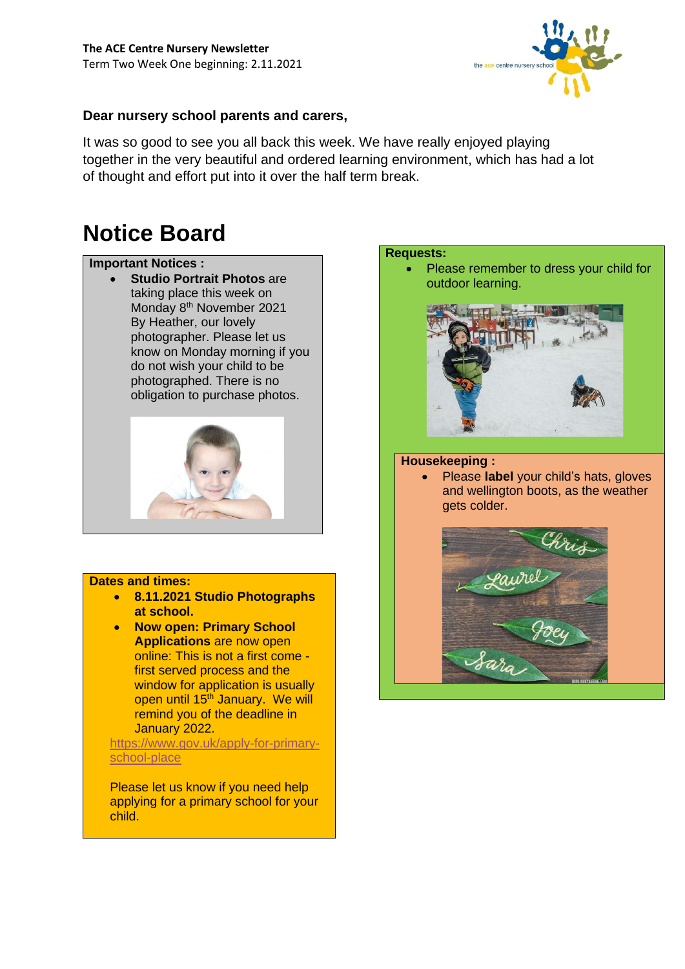

### **Dear nursery school parents and carers,**

It was so good to see you all back this week. We have really enjoyed playing together in the very beautiful and ordered learning environment, which has had a lot of thought and effort put into it over the half term break.

# **Notice Board**

### **Important Notices :**

**Studio Portrait Photos are** taking place this week on Monday 8<sup>th</sup> November 2021 By Heather, our lovely photographer. Please let us know on Monday morning if you do not wish your child to be photographed. There is no obligation to purchase photos.



### **Dates and times:**

- **8.11.2021 Studio Photographs at school.**
- **Now open: Primary School Applications** are now open online: This is not a first come first served process and the window for application is usually open until 15<sup>th</sup> January. We will remind you of the deadline in January 2022.

[https://www.gov.uk/apply-for-primary](https://www.gov.uk/apply-for-primary-school-place)[school-place](https://www.gov.uk/apply-for-primary-school-place)

Please let us know if you need help applying for a primary school for your child.

## **Requests:** • Please remember to dress your child for outdoor learning.



### **Housekeeping :**

• Please **label** your child's hats, gloves and wellington boots, as the weather gets colder.

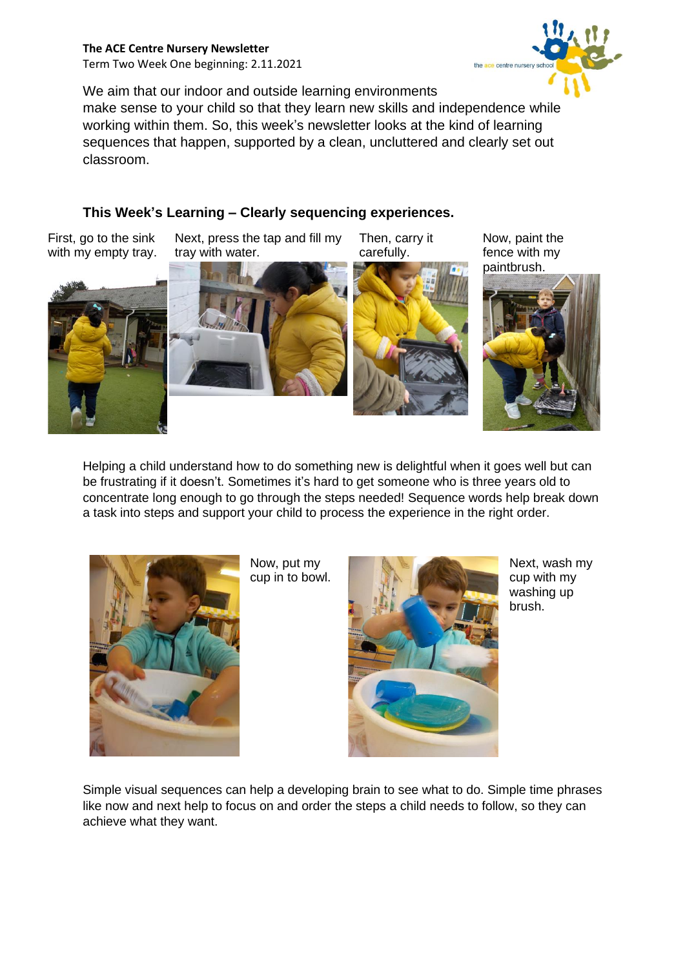**The ACE Centre Nursery Newsletter** Term Two Week One beginning: 2.11.2021 the ace centre nursery

We aim that our indoor and outside learning environments

make sense to your child so that they learn new skills and independence while working within them. So, this week's newsletter looks at the kind of learning sequences that happen, supported by a clean, uncluttered and clearly set out classroom.

## **This Week's Learning – Clearly sequencing experiences.**

First, go to the sink with my empty tray. Next, press the tap and fill my tray with water.

Then, carry it carefully.

Now, paint the fence with my









Helping a child understand how to do something new is delightful when it goes well but can be frustrating if it doesn't. Sometimes it's hard to get someone who is three years old to concentrate long enough to go through the steps needed! Sequence words help break down a task into steps and support your child to process the experience in the right order.



Now, put my cup in to bowl.



Next, wash my cup with my washing up brush.

Simple visual sequences can help a developing brain to see what to do. Simple time phrases like now and next help to focus on and order the steps a child needs to follow, so they can achieve what they want.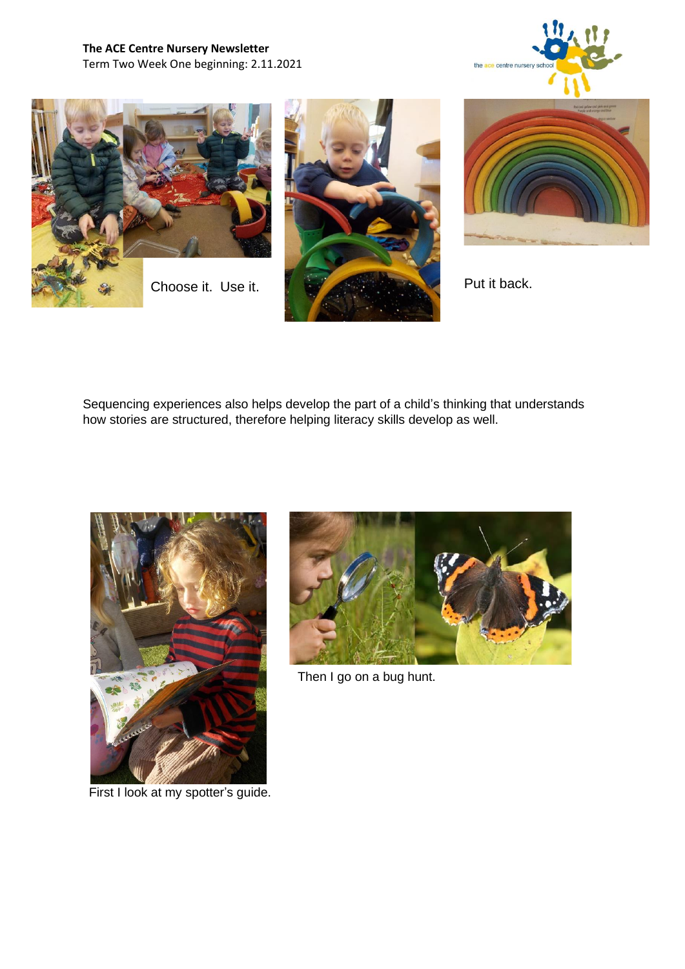









Sequencing experiences also helps develop the part of a child's thinking that understands how stories are structured, therefore helping literacy skills develop as well.



First I look at my spotter's guide.



Then I go on a bug hunt.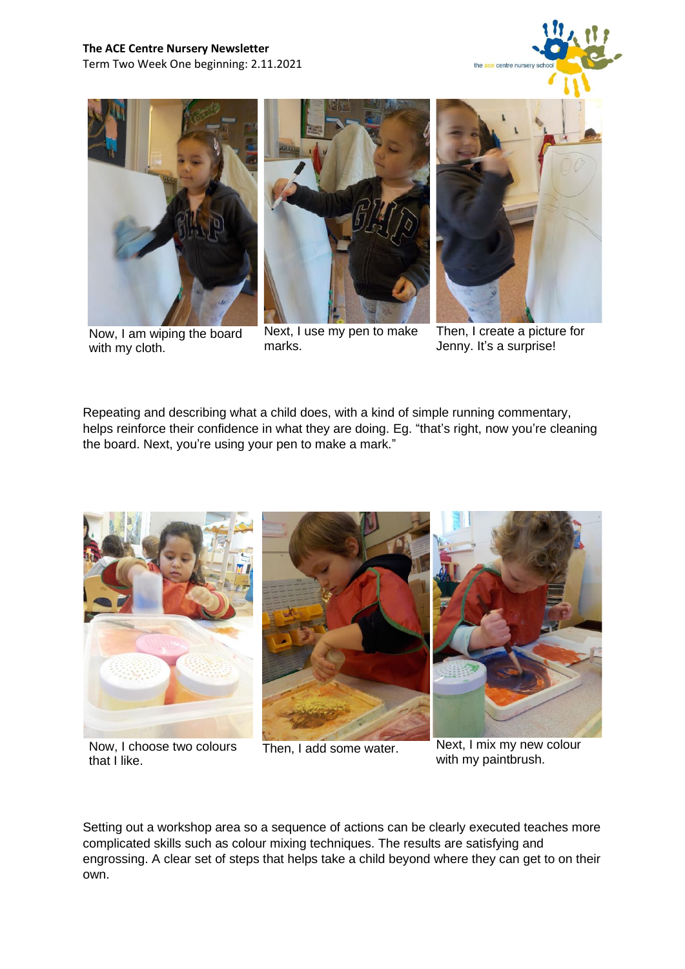



Now, I am wiping the board with my cloth.





Jenny. It's a surprise!

Repeating and describing what a child does, with a kind of simple running commentary, helps reinforce their confidence in what they are doing. Eg. "that's right, now you're cleaning the board. Next, you're using your pen to make a mark."



Now, I choose two colours that I like.

Then, I add some water. Next, I mix my new colour with my paintbrush.

Setting out a workshop area so a sequence of actions can be clearly executed teaches more complicated skills such as colour mixing techniques. The results are satisfying and engrossing. A clear set of steps that helps take a child beyond where they can get to on their own.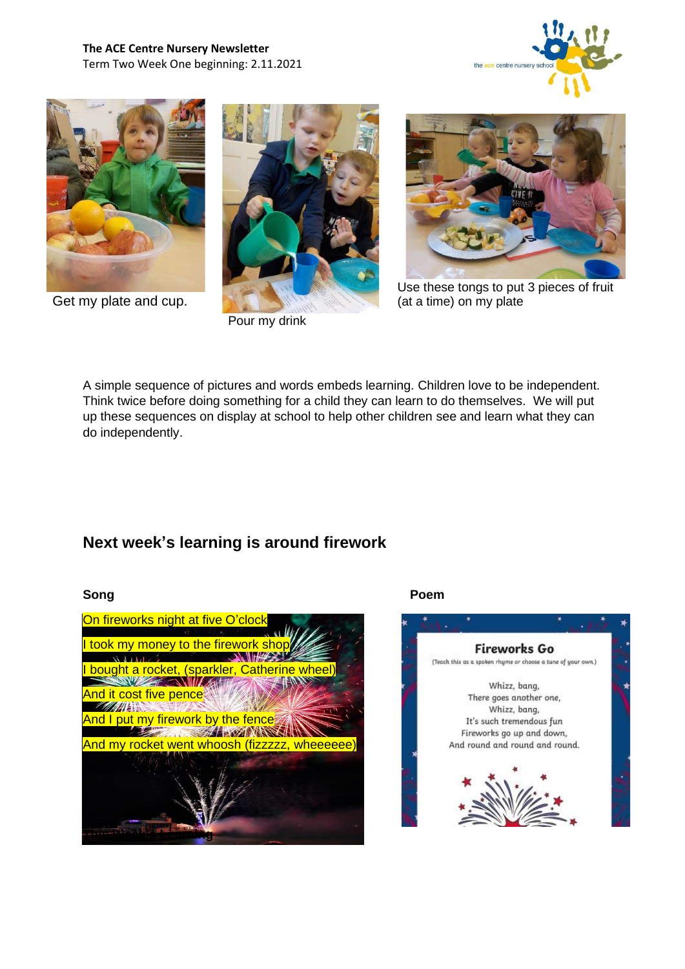**The ACE Centre Nursery Newsletter** Term Two Week One beginning: 2.11.2021





Get my plate and cup.



Pour my drink



Use these tongs to put 3 pieces of fruit (at a time) on my plate

A simple sequence of pictures and words embeds learning. Children love to be independent. Think twice before doing something for a child they can learn to do themselves. We will put up these sequences on display at school to help other children see and learn what they can do independently.

## **Next week's learning is around firework**



### **Song Poem**